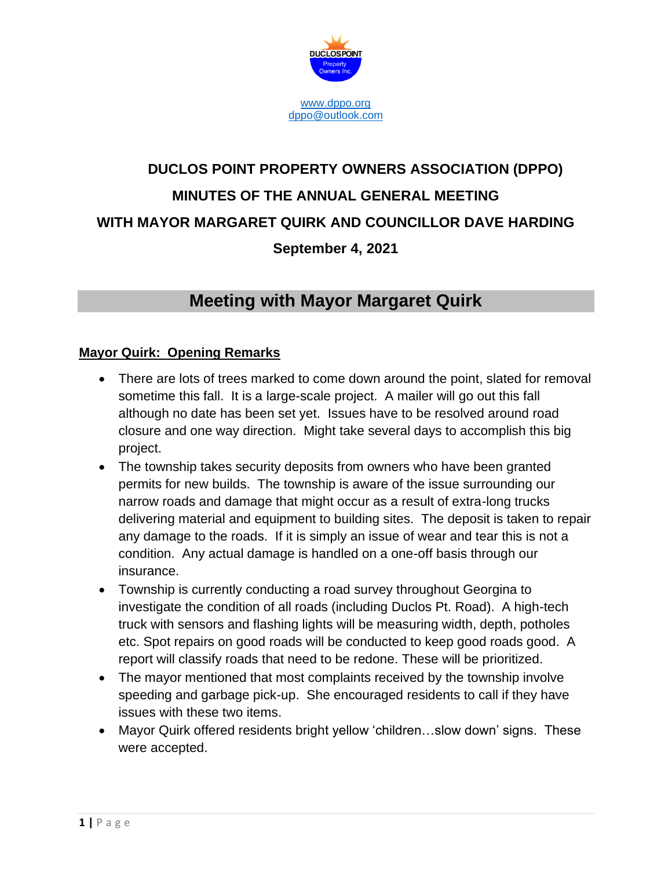

# **DUCLOS POINT PROPERTY OWNERS ASSOCIATION (DPPO) MINUTES OF THE ANNUAL GENERAL MEETING WITH MAYOR MARGARET QUIRK AND COUNCILLOR DAVE HARDING September 4, 2021**

## **Meeting with Mayor Margaret Quirk**

### **Mayor Quirk: Opening Remarks**

- There are lots of trees marked to come down around the point, slated for removal sometime this fall. It is a large-scale project. A mailer will go out this fall although no date has been set yet. Issues have to be resolved around road closure and one way direction. Might take several days to accomplish this big project.
- The township takes security deposits from owners who have been granted permits for new builds. The township is aware of the issue surrounding our narrow roads and damage that might occur as a result of extra-long trucks delivering material and equipment to building sites. The deposit is taken to repair any damage to the roads. If it is simply an issue of wear and tear this is not a condition. Any actual damage is handled on a one-off basis through our insurance.
- Township is currently conducting a road survey throughout Georgina to investigate the condition of all roads (including Duclos Pt. Road). A high-tech truck with sensors and flashing lights will be measuring width, depth, potholes etc. Spot repairs on good roads will be conducted to keep good roads good. A report will classify roads that need to be redone. These will be prioritized.
- The mayor mentioned that most complaints received by the township involve speeding and garbage pick-up. She encouraged residents to call if they have issues with these two items.
- Mayor Quirk offered residents bright yellow 'children…slow down' signs. These were accepted.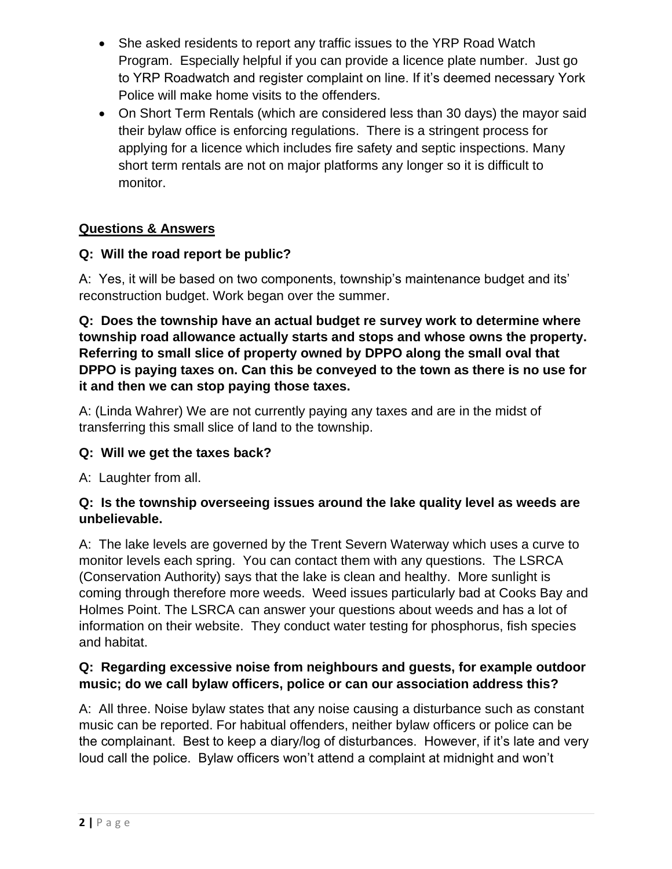- She asked residents to report any traffic issues to the YRP Road Watch Program. Especially helpful if you can provide a licence plate number. Just go to YRP Roadwatch and register complaint on line. If it's deemed necessary York Police will make home visits to the offenders.
- On Short Term Rentals (which are considered less than 30 days) the mayor said their bylaw office is enforcing regulations. There is a stringent process for applying for a licence which includes fire safety and septic inspections. Many short term rentals are not on major platforms any longer so it is difficult to monitor.

### **Questions & Answers**

### **Q: Will the road report be public?**

A: Yes, it will be based on two components, township's maintenance budget and its' reconstruction budget. Work began over the summer.

**Q: Does the township have an actual budget re survey work to determine where township road allowance actually starts and stops and whose owns the property. Referring to small slice of property owned by DPPO along the small oval that DPPO is paying taxes on. Can this be conveyed to the town as there is no use for it and then we can stop paying those taxes.**

A: (Linda Wahrer) We are not currently paying any taxes and are in the midst of transferring this small slice of land to the township.

### **Q: Will we get the taxes back?**

A: Laughter from all.

### **Q: Is the township overseeing issues around the lake quality level as weeds are unbelievable.**

A: The lake levels are governed by the Trent Severn Waterway which uses a curve to monitor levels each spring. You can contact them with any questions. The LSRCA (Conservation Authority) says that the lake is clean and healthy. More sunlight is coming through therefore more weeds. Weed issues particularly bad at Cooks Bay and Holmes Point. The LSRCA can answer your questions about weeds and has a lot of information on their website. They conduct water testing for phosphorus, fish species and habitat.

### **Q: Regarding excessive noise from neighbours and guests, for example outdoor music; do we call bylaw officers, police or can our association address this?**

A: All three. Noise bylaw states that any noise causing a disturbance such as constant music can be reported. For habitual offenders, neither bylaw officers or police can be the complainant. Best to keep a diary/log of disturbances. However, if it's late and very loud call the police. Bylaw officers won't attend a complaint at midnight and won't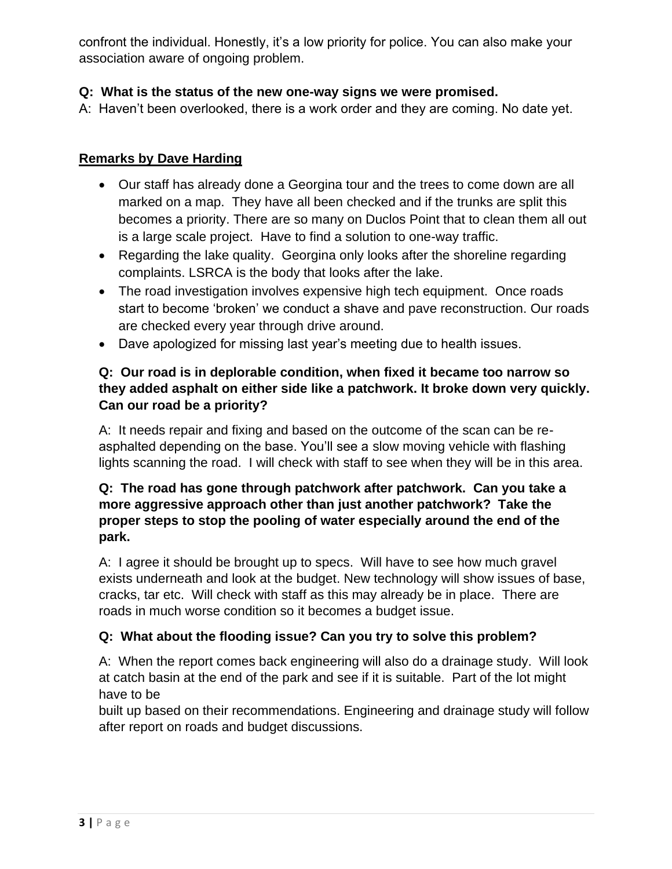confront the individual. Honestly, it's a low priority for police. You can also make your association aware of ongoing problem.

### **Q: What is the status of the new one-way signs we were promised.**

A: Haven't been overlooked, there is a work order and they are coming. No date yet.

#### **Remarks by Dave Harding**

- Our staff has already done a Georgina tour and the trees to come down are all marked on a map. They have all been checked and if the trunks are split this becomes a priority. There are so many on Duclos Point that to clean them all out is a large scale project. Have to find a solution to one-way traffic.
- Regarding the lake quality. Georgina only looks after the shoreline regarding complaints. LSRCA is the body that looks after the lake.
- The road investigation involves expensive high tech equipment. Once roads start to become 'broken' we conduct a shave and pave reconstruction. Our roads are checked every year through drive around.
- Dave apologized for missing last year's meeting due to health issues.

### **Q: Our road is in deplorable condition, when fixed it became too narrow so they added asphalt on either side like a patchwork. It broke down very quickly. Can our road be a priority?**

A: It needs repair and fixing and based on the outcome of the scan can be reasphalted depending on the base. You'll see a slow moving vehicle with flashing lights scanning the road. I will check with staff to see when they will be in this area.

### **Q: The road has gone through patchwork after patchwork. Can you take a more aggressive approach other than just another patchwork? Take the proper steps to stop the pooling of water especially around the end of the park.**

A: I agree it should be brought up to specs. Will have to see how much gravel exists underneath and look at the budget. New technology will show issues of base, cracks, tar etc. Will check with staff as this may already be in place. There are roads in much worse condition so it becomes a budget issue.

### **Q: What about the flooding issue? Can you try to solve this problem?**

A: When the report comes back engineering will also do a drainage study. Will look at catch basin at the end of the park and see if it is suitable. Part of the lot might have to be

built up based on their recommendations. Engineering and drainage study will follow after report on roads and budget discussions.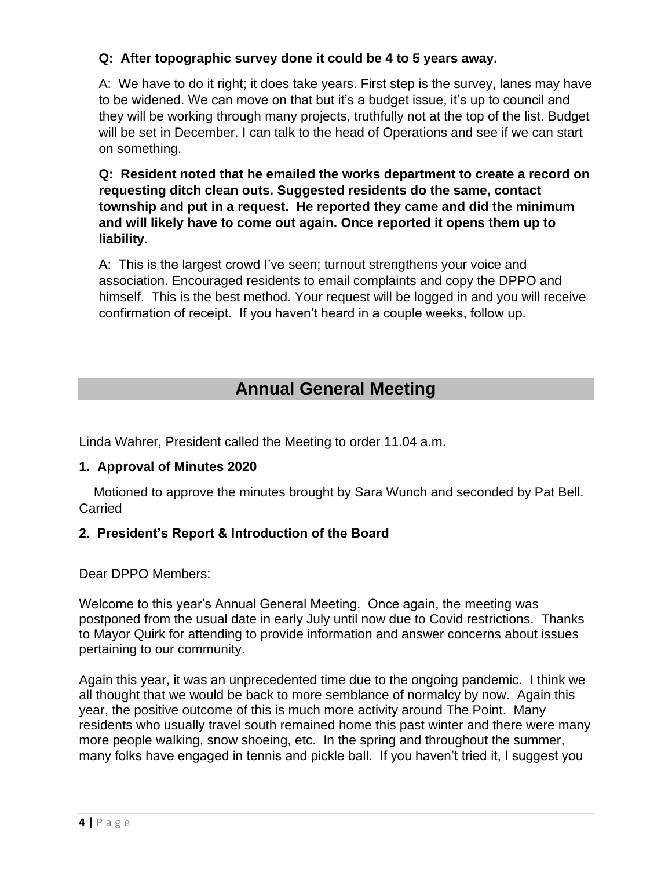### **Q: After topographic survey done it could be 4 to 5 years away.**

A: We have to do it right; it does take years. First step is the survey, lanes may have to be widened. We can move on that but it's a budget issue, it's up to council and they will be working through many projects, truthfully not at the top of the list. Budget will be set in December. I can talk to the head of Operations and see if we can start on something.

**Q: Resident noted that he emailed the works department to create a record on requesting ditch clean outs. Suggested residents do the same, contact township and put in a request. He reported they came and did the minimum and will likely have to come out again. Once reported it opens them up to liability.**

A: This is the largest crowd I've seen; turnout strengthens your voice and association. Encouraged residents to email complaints and copy the DPPO and himself. This is the best method. Your request will be logged in and you will receive confirmation of receipt. If you haven't heard in a couple weeks, follow up.

# **Annual General Meeting**

Linda Wahrer, President called the Meeting to order 11.04 a.m.

#### **1. Approval of Minutes 2020**

 Motioned to approve the minutes brought by Sara Wunch and seconded by Pat Bell. Carried

### **2. President's Report & Introduction of the Board**

Dear DPPO Members:

Welcome to this year's Annual General Meeting. Once again, the meeting was postponed from the usual date in early July until now due to Covid restrictions. Thanks to Mayor Quirk for attending to provide information and answer concerns about issues pertaining to our community.

Again this year, it was an unprecedented time due to the ongoing pandemic. I think we all thought that we would be back to more semblance of normalcy by now. Again this year, the positive outcome of this is much more activity around The Point. Many residents who usually travel south remained home this past winter and there were many more people walking, snow shoeing, etc. In the spring and throughout the summer, many folks have engaged in tennis and pickle ball. If you haven't tried it, I suggest you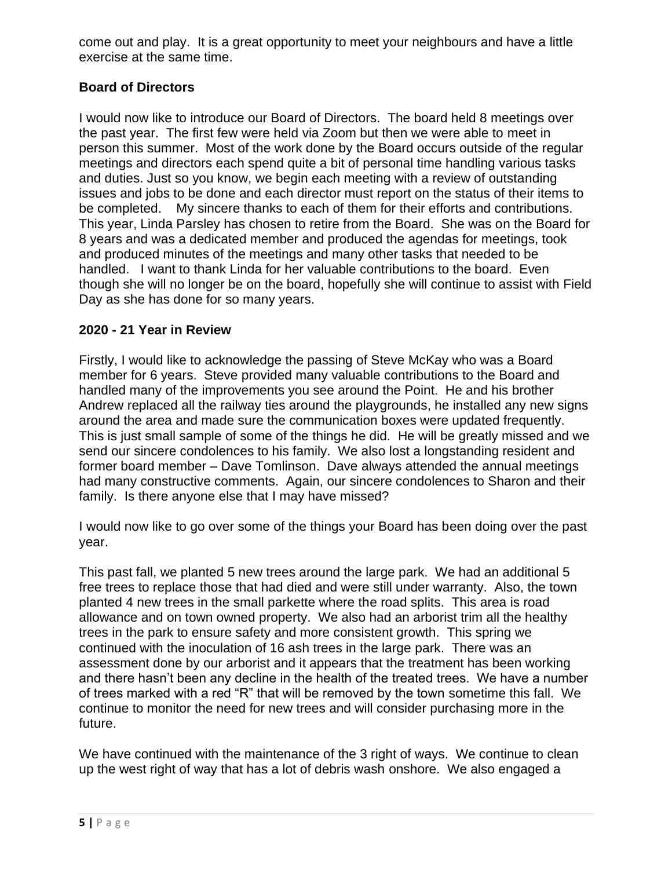come out and play. It is a great opportunity to meet your neighbours and have a little exercise at the same time.

### **Board of Directors**

I would now like to introduce our Board of Directors. The board held 8 meetings over the past year. The first few were held via Zoom but then we were able to meet in person this summer. Most of the work done by the Board occurs outside of the regular meetings and directors each spend quite a bit of personal time handling various tasks and duties. Just so you know, we begin each meeting with a review of outstanding issues and jobs to be done and each director must report on the status of their items to be completed. My sincere thanks to each of them for their efforts and contributions. This year, Linda Parsley has chosen to retire from the Board. She was on the Board for 8 years and was a dedicated member and produced the agendas for meetings, took and produced minutes of the meetings and many other tasks that needed to be handled. I want to thank Linda for her valuable contributions to the board. Even though she will no longer be on the board, hopefully she will continue to assist with Field Day as she has done for so many years.

### **2020 - 21 Year in Review**

Firstly, I would like to acknowledge the passing of Steve McKay who was a Board member for 6 years. Steve provided many valuable contributions to the Board and handled many of the improvements you see around the Point. He and his brother Andrew replaced all the railway ties around the playgrounds, he installed any new signs around the area and made sure the communication boxes were updated frequently. This is just small sample of some of the things he did. He will be greatly missed and we send our sincere condolences to his family. We also lost a longstanding resident and former board member – Dave Tomlinson. Dave always attended the annual meetings had many constructive comments. Again, our sincere condolences to Sharon and their family. Is there anyone else that I may have missed?

I would now like to go over some of the things your Board has been doing over the past year.

This past fall, we planted 5 new trees around the large park. We had an additional 5 free trees to replace those that had died and were still under warranty. Also, the town planted 4 new trees in the small parkette where the road splits. This area is road allowance and on town owned property. We also had an arborist trim all the healthy trees in the park to ensure safety and more consistent growth. This spring we continued with the inoculation of 16 ash trees in the large park. There was an assessment done by our arborist and it appears that the treatment has been working and there hasn't been any decline in the health of the treated trees. We have a number of trees marked with a red "R" that will be removed by the town sometime this fall. We continue to monitor the need for new trees and will consider purchasing more in the future.

We have continued with the maintenance of the 3 right of ways. We continue to clean up the west right of way that has a lot of debris wash onshore. We also engaged a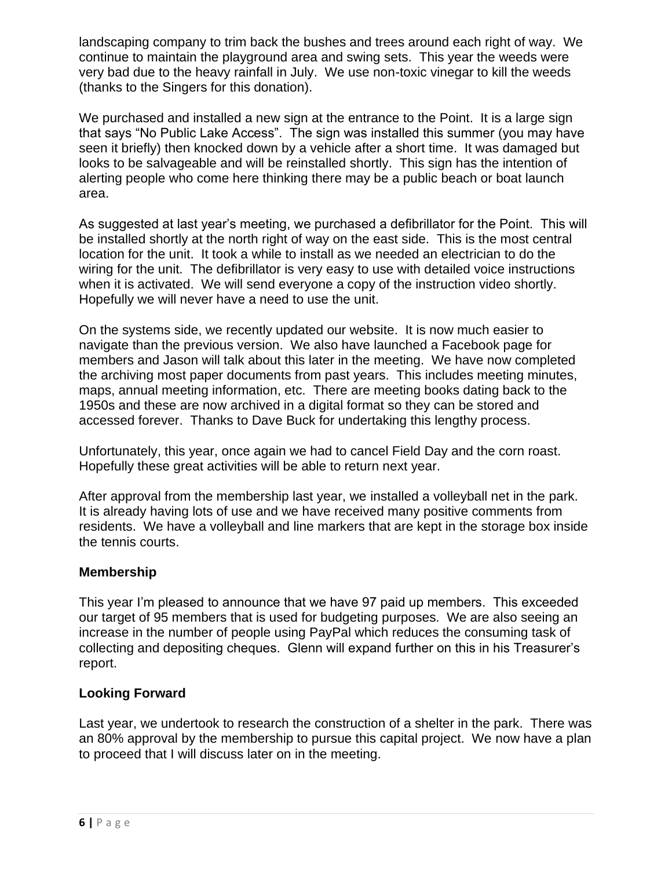landscaping company to trim back the bushes and trees around each right of way. We continue to maintain the playground area and swing sets. This year the weeds were very bad due to the heavy rainfall in July. We use non-toxic vinegar to kill the weeds (thanks to the Singers for this donation).

We purchased and installed a new sign at the entrance to the Point. It is a large sign that says "No Public Lake Access". The sign was installed this summer (you may have seen it briefly) then knocked down by a vehicle after a short time. It was damaged but looks to be salvageable and will be reinstalled shortly. This sign has the intention of alerting people who come here thinking there may be a public beach or boat launch area.

As suggested at last year's meeting, we purchased a defibrillator for the Point. This will be installed shortly at the north right of way on the east side. This is the most central location for the unit. It took a while to install as we needed an electrician to do the wiring for the unit. The defibrillator is very easy to use with detailed voice instructions when it is activated. We will send everyone a copy of the instruction video shortly. Hopefully we will never have a need to use the unit.

On the systems side, we recently updated our website. It is now much easier to navigate than the previous version. We also have launched a Facebook page for members and Jason will talk about this later in the meeting. We have now completed the archiving most paper documents from past years. This includes meeting minutes, maps, annual meeting information, etc. There are meeting books dating back to the 1950s and these are now archived in a digital format so they can be stored and accessed forever. Thanks to Dave Buck for undertaking this lengthy process.

Unfortunately, this year, once again we had to cancel Field Day and the corn roast. Hopefully these great activities will be able to return next year.

After approval from the membership last year, we installed a volleyball net in the park. It is already having lots of use and we have received many positive comments from residents. We have a volleyball and line markers that are kept in the storage box inside the tennis courts.

### **Membership**

This year I'm pleased to announce that we have 97 paid up members. This exceeded our target of 95 members that is used for budgeting purposes. We are also seeing an increase in the number of people using PayPal which reduces the consuming task of collecting and depositing cheques. Glenn will expand further on this in his Treasurer's report.

#### **Looking Forward**

Last year, we undertook to research the construction of a shelter in the park. There was an 80% approval by the membership to pursue this capital project. We now have a plan to proceed that I will discuss later on in the meeting.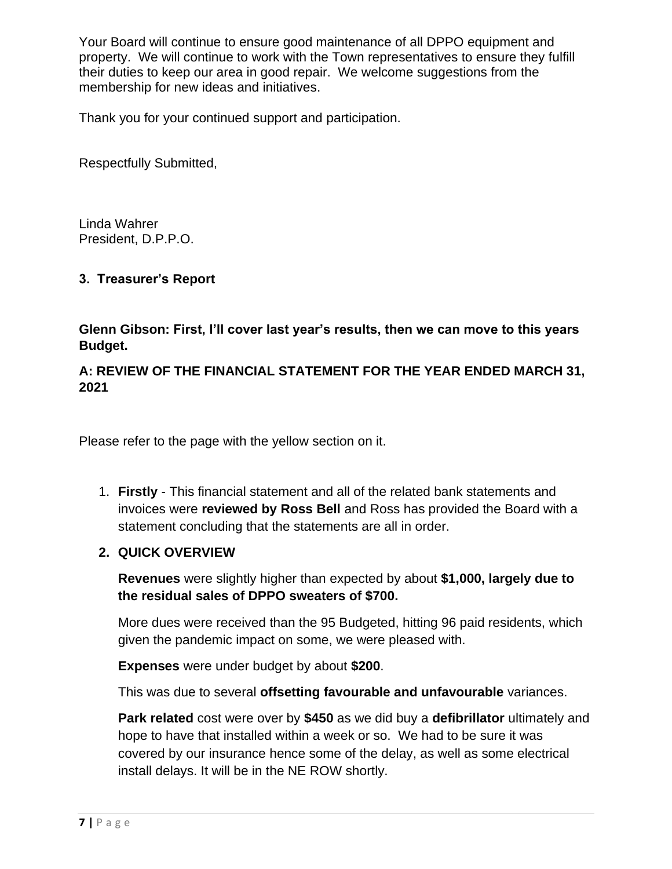Your Board will continue to ensure good maintenance of all DPPO equipment and property. We will continue to work with the Town representatives to ensure they fulfill their duties to keep our area in good repair. We welcome suggestions from the membership for new ideas and initiatives.

Thank you for your continued support and participation.

Respectfully Submitted,

Linda Wahrer President, D.P.P.O.

### **3. Treasurer's Report**

**Glenn Gibson: First, I'll cover last year's results, then we can move to this years Budget.**

### **A: REVIEW OF THE FINANCIAL STATEMENT FOR THE YEAR ENDED MARCH 31, 2021**

Please refer to the page with the yellow section on it.

1. **Firstly** - This financial statement and all of the related bank statements and invoices were **reviewed by Ross Bell** and Ross has provided the Board with a statement concluding that the statements are all in order.

### **2. QUICK OVERVIEW**

**Revenues** were slightly higher than expected by about **\$1,000, largely due to the residual sales of DPPO sweaters of \$700.** 

More dues were received than the 95 Budgeted, hitting 96 paid residents, which given the pandemic impact on some, we were pleased with.

**Expenses** were under budget by about **\$200**.

This was due to several **offsetting favourable and unfavourable** variances.

**Park related** cost were over by **\$450** as we did buy a **defibrillator** ultimately and hope to have that installed within a week or so. We had to be sure it was covered by our insurance hence some of the delay, as well as some electrical install delays. It will be in the NE ROW shortly.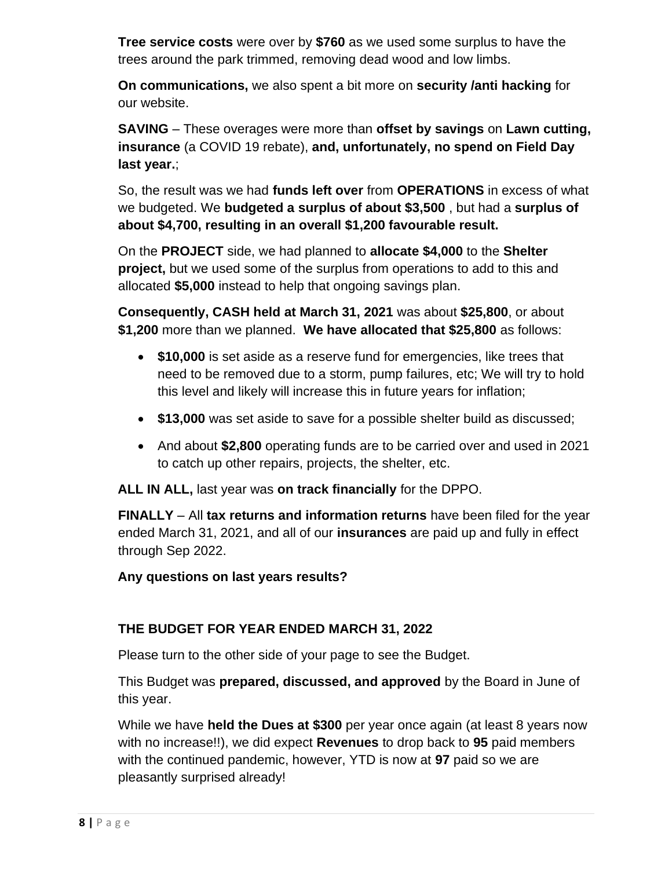**Tree service costs** were over by **\$760** as we used some surplus to have the trees around the park trimmed, removing dead wood and low limbs.

**On communications,** we also spent a bit more on **security /anti hacking** for our website.

**SAVING** – These overages were more than **offset by savings** on **Lawn cutting, insurance** (a COVID 19 rebate), **and, unfortunately, no spend on Field Day last year.**;

So, the result was we had **funds left over** from **OPERATIONS** in excess of what we budgeted. We **budgeted a surplus of about \$3,500** , but had a **surplus of about \$4,700, resulting in an overall \$1,200 favourable result.**

On the **PROJECT** side, we had planned to **allocate \$4,000** to the **Shelter project,** but we used some of the surplus from operations to add to this and allocated **\$5,000** instead to help that ongoing savings plan.

**Consequently, CASH held at March 31, 2021** was about **\$25,800**, or about **\$1,200** more than we planned. **We have allocated that \$25,800** as follows:

- **\$10,000** is set aside as a reserve fund for emergencies, like trees that need to be removed due to a storm, pump failures, etc; We will try to hold this level and likely will increase this in future years for inflation;
- **\$13,000** was set aside to save for a possible shelter build as discussed;
- And about **\$2,800** operating funds are to be carried over and used in 2021 to catch up other repairs, projects, the shelter, etc.

**ALL IN ALL,** last year was **on track financially** for the DPPO.

**FINALLY** – All **tax returns and information returns** have been filed for the year ended March 31, 2021, and all of our **insurances** are paid up and fully in effect through Sep 2022.

**Any questions on last years results?**

### **THE BUDGET FOR YEAR ENDED MARCH 31, 2022**

Please turn to the other side of your page to see the Budget.

This Budget was **prepared, discussed, and approved** by the Board in June of this year.

While we have **held the Dues at \$300** per year once again (at least 8 years now with no increase!!), we did expect **Revenues** to drop back to **95** paid members with the continued pandemic, however, YTD is now at **97** paid so we are pleasantly surprised already!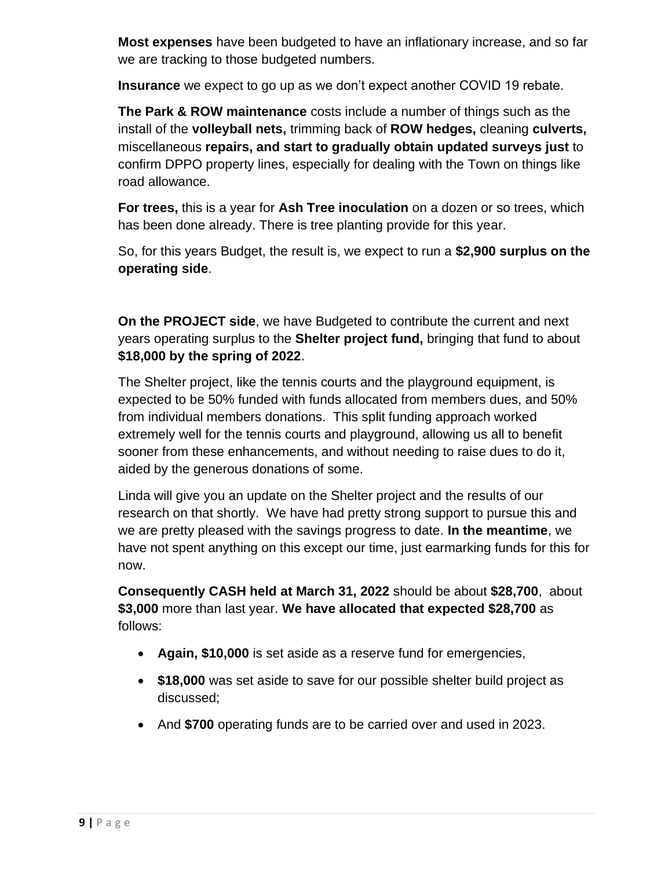**Most expenses** have been budgeted to have an inflationary increase, and so far we are tracking to those budgeted numbers.

**Insurance** we expect to go up as we don't expect another COVID 19 rebate.

**The Park & ROW maintenance** costs include a number of things such as the install of the **volleyball nets,** trimming back of **ROW hedges,** cleaning **culverts,**  miscellaneous **repairs, and start to gradually obtain updated surveys just** to confirm DPPO property lines, especially for dealing with the Town on things like road allowance.

**For trees,** this is a year for **Ash Tree inoculation** on a dozen or so trees, which has been done already. There is tree planting provide for this year.

So, for this years Budget, the result is, we expect to run a **\$2,900 surplus on the operating side**.

**On the PROJECT side**, we have Budgeted to contribute the current and next years operating surplus to the **Shelter project fund,** bringing that fund to about **\$18,000 by the spring of 2022**.

The Shelter project, like the tennis courts and the playground equipment, is expected to be 50% funded with funds allocated from members dues, and 50% from individual members donations. This split funding approach worked extremely well for the tennis courts and playground, allowing us all to benefit sooner from these enhancements, and without needing to raise dues to do it, aided by the generous donations of some.

Linda will give you an update on the Shelter project and the results of our research on that shortly. We have had pretty strong support to pursue this and we are pretty pleased with the savings progress to date. **In the meantime**, we have not spent anything on this except our time, just earmarking funds for this for now.

**Consequently CASH held at March 31, 2022** should be about **\$28,700**, about **\$3,000** more than last year. **We have allocated that expected \$28,700** as follows:

- **Again, \$10,000** is set aside as a reserve fund for emergencies,
- **\$18,000** was set aside to save for our possible shelter build project as discussed;
- And **\$700** operating funds are to be carried over and used in 2023.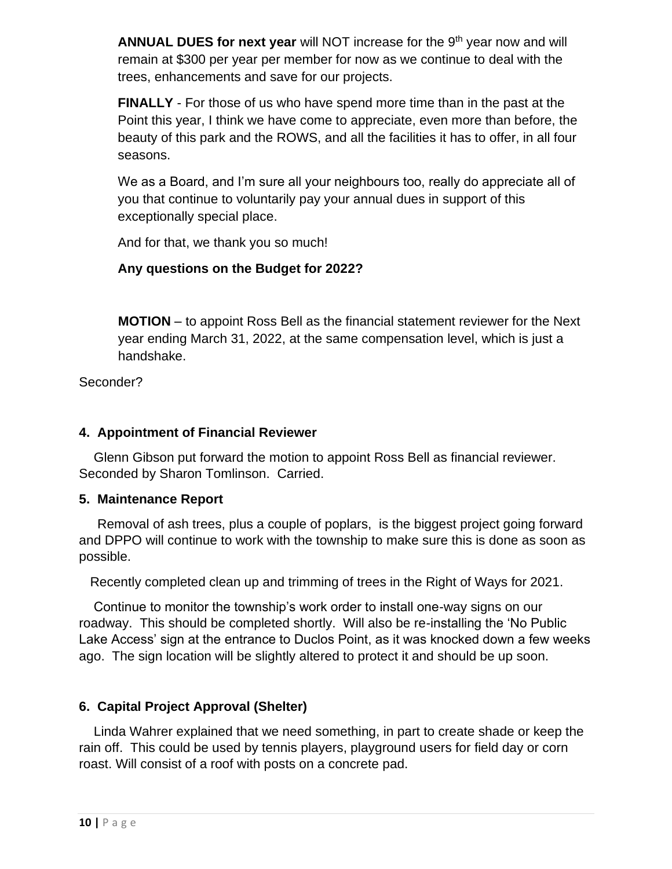**ANNUAL DUES for next year** will NOT increase for the 9<sup>th</sup> year now and will remain at \$300 per year per member for now as we continue to deal with the trees, enhancements and save for our projects.

**FINALLY** - For those of us who have spend more time than in the past at the Point this year, I think we have come to appreciate, even more than before, the beauty of this park and the ROWS, and all the facilities it has to offer, in all four seasons.

We as a Board, and I'm sure all your neighbours too, really do appreciate all of you that continue to voluntarily pay your annual dues in support of this exceptionally special place.

And for that, we thank you so much!

### **Any questions on the Budget for 2022?**

**MOTION** – to appoint Ross Bell as the financial statement reviewer for the Next year ending March 31, 2022, at the same compensation level, which is just a handshake.

Seconder?

### **4. Appointment of Financial Reviewer**

 Glenn Gibson put forward the motion to appoint Ross Bell as financial reviewer. Seconded by Sharon Tomlinson. Carried.

### **5. Maintenance Report**

 Removal of ash trees, plus a couple of poplars, is the biggest project going forward and DPPO will continue to work with the township to make sure this is done as soon as possible.

Recently completed clean up and trimming of trees in the Right of Ways for 2021.

 Continue to monitor the township's work order to install one-way signs on our roadway. This should be completed shortly. Will also be re-installing the 'No Public Lake Access' sign at the entrance to Duclos Point, as it was knocked down a few weeks ago. The sign location will be slightly altered to protect it and should be up soon.

### **6. Capital Project Approval (Shelter)**

 Linda Wahrer explained that we need something, in part to create shade or keep the rain off. This could be used by tennis players, playground users for field day or corn roast. Will consist of a roof with posts on a concrete pad.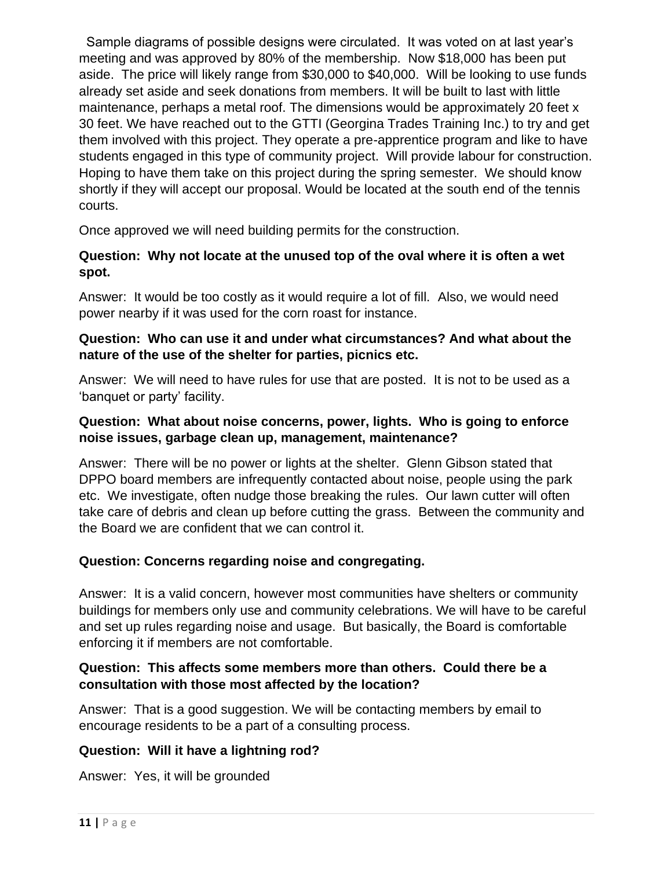Sample diagrams of possible designs were circulated. It was voted on at last year's meeting and was approved by 80% of the membership. Now \$18,000 has been put aside. The price will likely range from \$30,000 to \$40,000. Will be looking to use funds already set aside and seek donations from members. It will be built to last with little maintenance, perhaps a metal roof. The dimensions would be approximately 20 feet x 30 feet. We have reached out to the GTTI (Georgina Trades Training Inc.) to try and get them involved with this project. They operate a pre-apprentice program and like to have students engaged in this type of community project. Will provide labour for construction. Hoping to have them take on this project during the spring semester. We should know shortly if they will accept our proposal. Would be located at the south end of the tennis courts.

Once approved we will need building permits for the construction.

### **Question: Why not locate at the unused top of the oval where it is often a wet spot.**

Answer: It would be too costly as it would require a lot of fill. Also, we would need power nearby if it was used for the corn roast for instance.

### **Question: Who can use it and under what circumstances? And what about the nature of the use of the shelter for parties, picnics etc.**

Answer: We will need to have rules for use that are posted. It is not to be used as a 'banquet or party' facility.

### **Question: What about noise concerns, power, lights. Who is going to enforce noise issues, garbage clean up, management, maintenance?**

Answer: There will be no power or lights at the shelter. Glenn Gibson stated that DPPO board members are infrequently contacted about noise, people using the park etc. We investigate, often nudge those breaking the rules. Our lawn cutter will often take care of debris and clean up before cutting the grass. Between the community and the Board we are confident that we can control it.

### **Question: Concerns regarding noise and congregating.**

Answer: It is a valid concern, however most communities have shelters or community buildings for members only use and community celebrations. We will have to be careful and set up rules regarding noise and usage. But basically, the Board is comfortable enforcing it if members are not comfortable.

### **Question: This affects some members more than others. Could there be a consultation with those most affected by the location?**

Answer: That is a good suggestion. We will be contacting members by email to encourage residents to be a part of a consulting process.

### **Question: Will it have a lightning rod?**

Answer: Yes, it will be grounded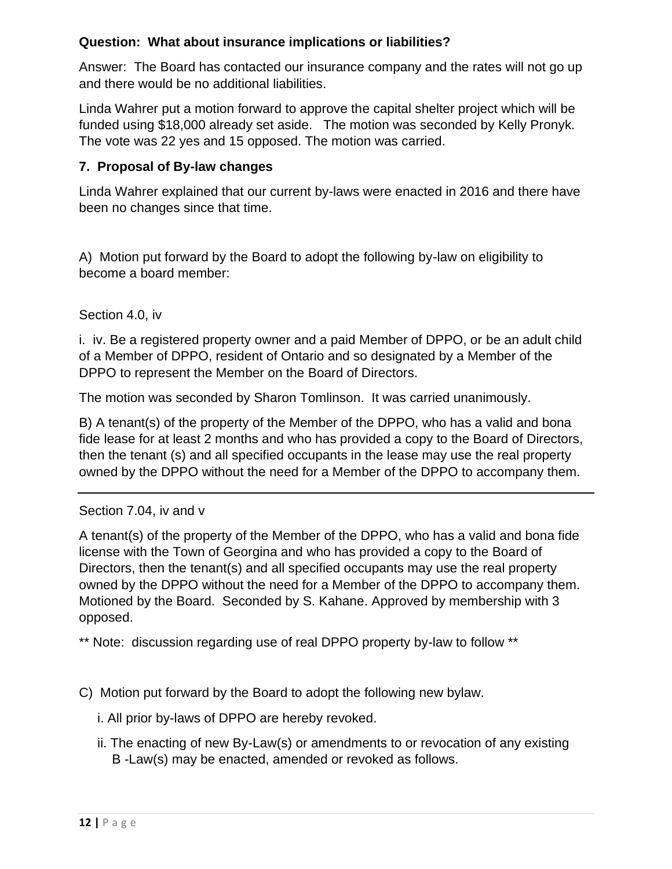### **Question: What about insurance implications or liabilities?**

Answer: The Board has contacted our insurance company and the rates will not go up and there would be no additional liabilities.

Linda Wahrer put a motion forward to approve the capital shelter project which will be funded using \$18,000 already set aside. The motion was seconded by Kelly Pronyk. The vote was 22 yes and 15 opposed. The motion was carried.

### **7. Proposal of By-law changes**

Linda Wahrer explained that our current by-laws were enacted in 2016 and there have been no changes since that time.

A) Motion put forward by the Board to adopt the following by-law on eligibility to become a board member:

### Section 4.0, iv

i. iv. Be a registered property owner and a paid Member of DPPO, or be an adult child of a Member of DPPO, resident of Ontario and so designated by a Member of the DPPO to represent the Member on the Board of Directors.

The motion was seconded by Sharon Tomlinson. It was carried unanimously.

B) A tenant(s) of the property of the Member of the DPPO, who has a valid and bona fide lease for at least 2 months and who has provided a copy to the Board of Directors, then the tenant (s) and all specified occupants in the lease may use the real property owned by the DPPO without the need for a Member of the DPPO to accompany them.

#### Section 7.04, iv and v

A tenant(s) of the property of the Member of the DPPO, who has a valid and bona fide license with the Town of Georgina and who has provided a copy to the Board of Directors, then the tenant(s) and all specified occupants may use the real property owned by the DPPO without the need for a Member of the DPPO to accompany them. Motioned by the Board. Seconded by S. Kahane. Approved by membership with 3 opposed.

\*\* Note: discussion regarding use of real DPPO property by-law to follow \*\*

- C) Motion put forward by the Board to adopt the following new bylaw.
	- i. All prior by-laws of DPPO are hereby revoked.
	- ii. The enacting of new By-Law(s) or amendments to or revocation of any existing B -Law(s) may be enacted, amended or revoked as follows.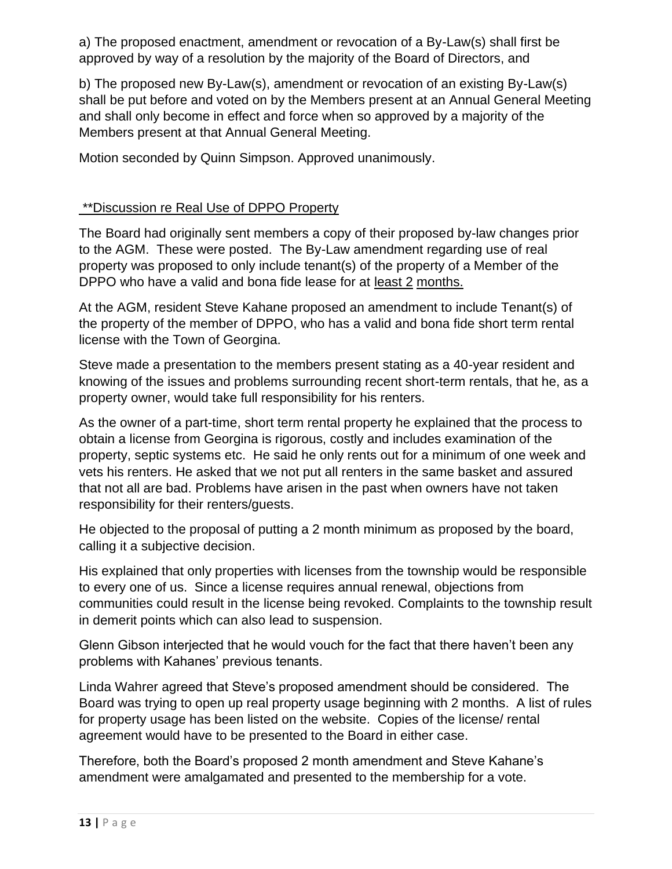a) The proposed enactment, amendment or revocation of a By-Law(s) shall first be approved by way of a resolution by the majority of the Board of Directors, and

b) The proposed new By-Law(s), amendment or revocation of an existing By-Law(s) shall be put before and voted on by the Members present at an Annual General Meeting and shall only become in effect and force when so approved by a majority of the Members present at that Annual General Meeting.

Motion seconded by Quinn Simpson. Approved unanimously.

### \*\*Discussion re Real Use of DPPO Property

The Board had originally sent members a copy of their proposed by-law changes prior to the AGM. These were posted. The By-Law amendment regarding use of real property was proposed to only include tenant(s) of the property of a Member of the DPPO who have a valid and bona fide lease for at least 2 months.

At the AGM, resident Steve Kahane proposed an amendment to include Tenant(s) of the property of the member of DPPO, who has a valid and bona fide short term rental license with the Town of Georgina.

Steve made a presentation to the members present stating as a 40-year resident and knowing of the issues and problems surrounding recent short-term rentals, that he, as a property owner, would take full responsibility for his renters.

As the owner of a part-time, short term rental property he explained that the process to obtain a license from Georgina is rigorous, costly and includes examination of the property, septic systems etc. He said he only rents out for a minimum of one week and vets his renters. He asked that we not put all renters in the same basket and assured that not all are bad. Problems have arisen in the past when owners have not taken responsibility for their renters/guests.

He objected to the proposal of putting a 2 month minimum as proposed by the board, calling it a subjective decision.

His explained that only properties with licenses from the township would be responsible to every one of us. Since a license requires annual renewal, objections from communities could result in the license being revoked. Complaints to the township result in demerit points which can also lead to suspension.

Glenn Gibson interjected that he would vouch for the fact that there haven't been any problems with Kahanes' previous tenants.

Linda Wahrer agreed that Steve's proposed amendment should be considered. The Board was trying to open up real property usage beginning with 2 months. A list of rules for property usage has been listed on the website. Copies of the license/ rental agreement would have to be presented to the Board in either case.

Therefore, both the Board's proposed 2 month amendment and Steve Kahane's amendment were amalgamated and presented to the membership for a vote.